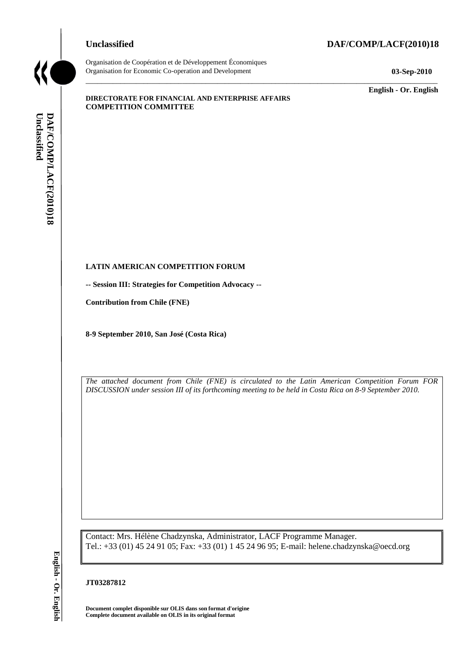# **Unclassified DAF/COMP/LACF(2010)18**



Organisation de Coopération et de Développement Économiques Organisation for Economic Co-operation and Development **03-Sep-2010**

\_\_\_\_\_\_\_\_\_\_\_\_\_ **English - Or. English**

#### **DIRECTORATE FOR FINANCIAL AND ENTERPRISE AFFAIRS COMPETITION COMMITTEE**

# **LATIN AMERICAN COMPETITION FORUM**

**-- Session III: Strategies for Competition Advocacy --**

**Contribution from Chile (FNE)**

**8-9 September 2010, San José (Costa Rica)**

*The attached document from Chile (FNE) is circulated to the Latin American Competition Forum FOR DISCUSSION under session III of its forthcoming meeting to be held in Costa Rica on 8-9 September 2010.*

\_\_\_\_\_\_\_\_\_\_\_\_\_\_\_\_\_\_\_\_\_\_\_\_\_\_\_\_\_\_\_\_\_\_\_\_\_\_\_\_\_\_\_\_\_\_\_\_\_\_\_\_\_\_\_\_\_\_\_\_\_\_\_\_\_\_\_\_\_\_\_\_\_\_\_\_\_\_\_\_\_\_\_\_\_\_\_\_\_\_\_

Contact: Mrs. Hélène Chadzynska, Administrator, LACF Programme Manager. Tel.: +33 (01) 45 24 91 05; Fax: +33 (01) 1 45 24 96 95; E-mail: helene.chadzynska@oecd.org **Complete document available on OLIS duas son format document complete document available on OLIS duas son format Complete document available on OLIS duas son format Complete document available on OLIS duas son format docu** 

#### **JT03287812**

**Document complet disponible sur OLIS dans son format d'origine**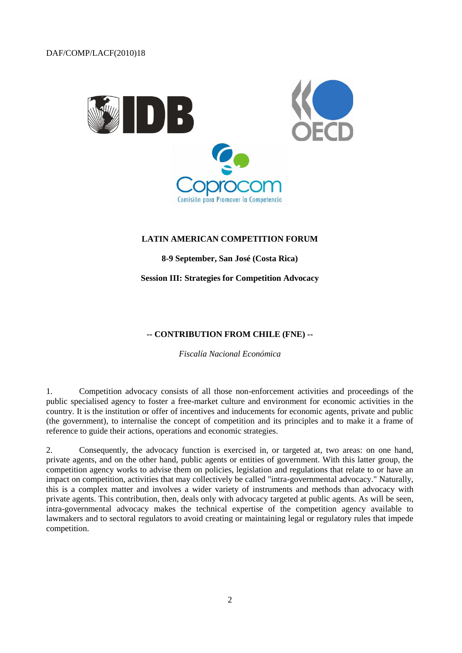

#### **LATIN AMERICAN COMPETITION FORUM**

**8-9 September, San José (Costa Rica)**

**Session III: Strategies for Competition Advocacy**

### **-- CONTRIBUTION FROM CHILE (FNE) --**

*Fiscalía Nacional Económica*

1. Competition advocacy consists of all those non-enforcement activities and proceedings of the public specialised agency to foster a free-market culture and environment for economic activities in the country. It is the institution or offer of incentives and inducements for economic agents, private and public (the government), to internalise the concept of competition and its principles and to make it a frame of reference to guide their actions, operations and economic strategies.

2. Consequently, the advocacy function is exercised in, or targeted at, two areas: on one hand, private agents, and on the other hand, public agents or entities of government. With this latter group, the competition agency works to advise them on policies, legislation and regulations that relate to or have an impact on competition, activities that may collectively be called "intra-governmental advocacy." Naturally, this is a complex matter and involves a wider variety of instruments and methods than advocacy with private agents. This contribution, then, deals only with advocacy targeted at public agents. As will be seen, intra-governmental advocacy makes the technical expertise of the competition agency available to lawmakers and to sectoral regulators to avoid creating or maintaining legal or regulatory rules that impede competition.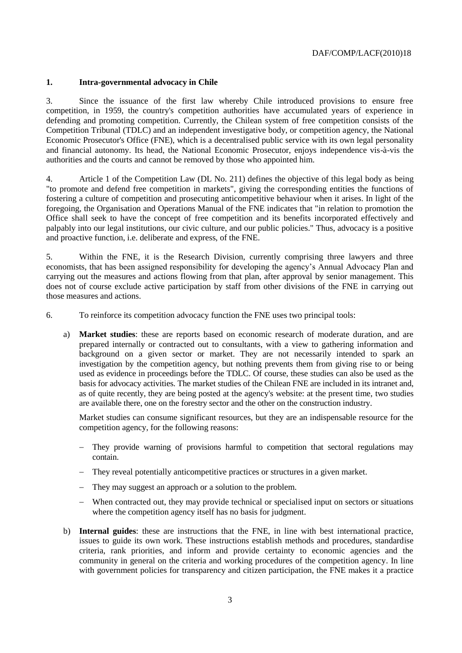#### **1. Intra-governmental advocacy in Chile**

3. Since the issuance of the first law whereby Chile introduced provisions to ensure free competition, in 1959, the country's competition authorities have accumulated years of experience in defending and promoting competition. Currently, the Chilean system of free competition consists of the Competition Tribunal (TDLC) and an independent investigative body, or competition agency, the National Economic Prosecutor's Office (FNE), which is a decentralised public service with its own legal personality and financial autonomy. Its head, the National Economic Prosecutor, enjoys independence vis-à-vis the authorities and the courts and cannot be removed by those who appointed him.

4. Article 1 of the Competition Law (DL No. 211) defines the objective of this legal body as being "to promote and defend free competition in markets", giving the corresponding entities the functions of fostering a culture of competition and prosecuting anticompetitive behaviour when it arises. In light of the foregoing, the Organisation and Operations Manual of the FNE indicates that "in relation to promotion the Office shall seek to have the concept of free competition and its benefits incorporated effectively and palpably into our legal institutions, our civic culture, and our public policies." Thus, advocacy is a positive and proactive function, i.e. deliberate and express, of the FNE.

5. Within the FNE, it is the Research Division, currently comprising three lawyers and three economists, that has been assigned responsibility for developing the agency's Annual Advocacy Plan and carrying out the measures and actions flowing from that plan, after approval by senior management. This does not of course exclude active participation by staff from other divisions of the FNE in carrying out those measures and actions.

6. To reinforce its competition advocacy function the FNE uses two principal tools:

a) **Market studies**: these are reports based on economic research of moderate duration, and are prepared internally or contracted out to consultants, with a view to gathering information and background on a given sector or market. They are not necessarily intended to spark an investigation by the competition agency, but nothing prevents them from giving rise to or being used as evidence in proceedings before the TDLC. Of course, these studies can also be used as the basis for advocacy activities. The market studies of the Chilean FNE are included in its intranet and, as of quite recently, they are being posted at the agency's website: at the present time, two studies are available there, one on the forestry sector and the other on the construction industry.

Market studies can consume significant resources, but they are an indispensable resource for the competition agency, for the following reasons:

- They provide warning of provisions harmful to competition that sectoral regulations may contain.
- They reveal potentially anticompetitive practices or structures in a given market.
- They may suggest an approach or a solution to the problem.
- When contracted out, they may provide technical or specialised input on sectors or situations where the competition agency itself has no basis for judgment.
- b) **Internal guides**: these are instructions that the FNE, in line with best international practice, issues to guide its own work. These instructions establish methods and procedures, standardise criteria, rank priorities, and inform and provide certainty to economic agencies and the community in general on the criteria and working procedures of the competition agency. In line with government policies for transparency and citizen participation, the FNE makes it a practice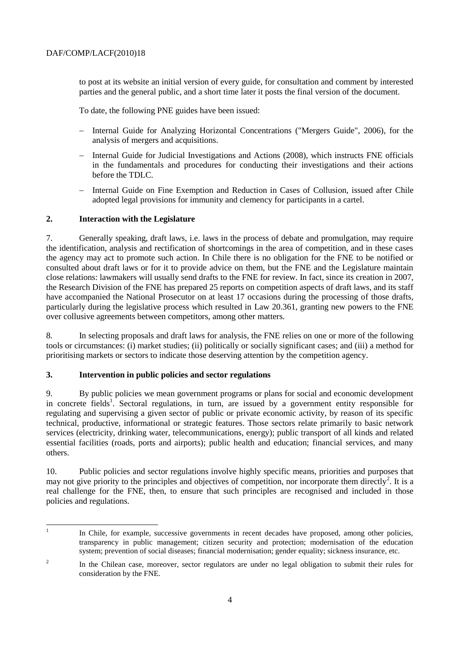to post at its website an initial version of every guide, for consultation and comment by interested parties and the general public, and a short time later it posts the final version of the document.

To date, the following PNE guides have been issued:

- Internal Guide for Analyzing Horizontal Concentrations ("Mergers Guide", 2006), for the analysis of mergers and acquisitions.
- Internal Guide for Judicial Investigations and Actions (2008), which instructs FNE officials in the fundamentals and procedures for conducting their investigations and their actions before the TDLC.
- Internal Guide on Fine Exemption and Reduction in Cases of Collusion, issued after Chile adopted legal provisions for immunity and clemency for participants in a cartel.

# **2. Interaction with the Legislature**

7. Generally speaking, draft laws, i.e. laws in the process of debate and promulgation, may require the identification, analysis and rectification of shortcomings in the area of competition, and in these cases the agency may act to promote such action. In Chile there is no obligation for the FNE to be notified or consulted about draft laws or for it to provide advice on them, but the FNE and the Legislature maintain close relations: lawmakers will usually send drafts to the FNE for review. In fact, since its creation in 2007, the Research Division of the FNE has prepared 25 reports on competition aspects of draft laws, and its staff have accompanied the National Prosecutor on at least 17 occasions during the processing of those drafts, particularly during the legislative process which resulted in Law 20.361, granting new powers to the FNE over collusive agreements between competitors, among other matters.

8. In selecting proposals and draft laws for analysis, the FNE relies on one or more of the following tools or circumstances: (i) market studies; (ii) politically or socially significant cases; and (iii) a method for prioritising markets or sectors to indicate those deserving attention by the competition agency.

# **3. Intervention in public policies and sector regulations**

9. By public policies we mean government programs or plans for social and economic development in concrete fields<sup>1</sup>. Sectoral regulations, in turn, are issued by a government entity responsible for regulating and supervising a given sector of public or private economic activity, by reason of its specific technical, productive, informational or strategic features. Those sectors relate primarily to basic network services (electricity, drinking water, telecommunications, energy); public transport of all kinds and related essential facilities (roads, ports and airports); public health and education; financial services, and many others.

10. Public policies and sector regulations involve highly specific means, priorities and purposes that may not give priority to the principles and objectives of competition, nor incorporate them directly<sup>2</sup>. It is a real challenge for the FNE, then, to ensure that such principles are recognised and included in those policies and regulations.

 $\frac{1}{1}$ In Chile, for example, successive governments in recent decades have proposed, among other policies, transparency in public management; citizen security and protection; modernisation of the education system; prevention of social diseases; financial modernisation; gender equality; sickness insurance, etc.

 $\overline{2}$ In the Chilean case, moreover, sector regulators are under no legal obligation to submit their rules for consideration by the FNE.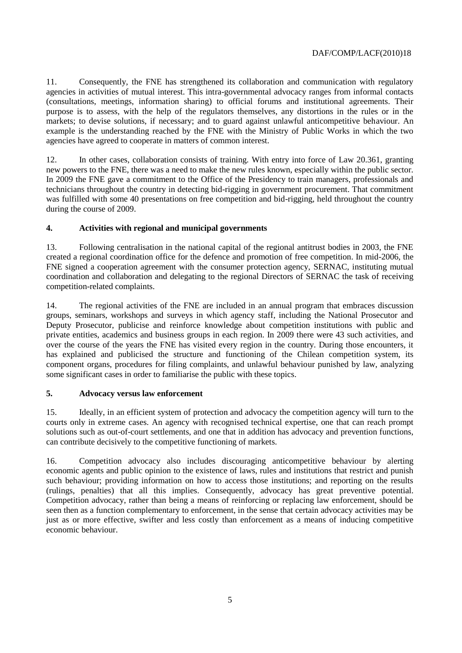11. Consequently, the FNE has strengthened its collaboration and communication with regulatory agencies in activities of mutual interest. This intra-governmental advocacy ranges from informal contacts (consultations, meetings, information sharing) to official forums and institutional agreements. Their purpose is to assess, with the help of the regulators themselves, any distortions in the rules or in the markets; to devise solutions, if necessary; and to guard against unlawful anticompetitive behaviour. An example is the understanding reached by the FNE with the Ministry of Public Works in which the two agencies have agreed to cooperate in matters of common interest.

12. In other cases, collaboration consists of training. With entry into force of Law 20.361, granting new powers to the FNE, there was a need to make the new rules known, especially within the public sector. In 2009 the FNE gave a commitment to the Office of the Presidency to train managers, professionals and technicians throughout the country in detecting bid-rigging in government procurement. That commitment was fulfilled with some 40 presentations on free competition and bid-rigging, held throughout the country during the course of 2009.

# **4. Activities with regional and municipal governments**

13. Following centralisation in the national capital of the regional antitrust bodies in 2003, the FNE created a regional coordination office for the defence and promotion of free competition. In mid-2006, the FNE signed a cooperation agreement with the consumer protection agency, SERNAC, instituting mutual coordination and collaboration and delegating to the regional Directors of SERNAC the task of receiving competition-related complaints.

14. The regional activities of the FNE are included in an annual program that embraces discussion groups, seminars, workshops and surveys in which agency staff, including the National Prosecutor and Deputy Prosecutor, publicise and reinforce knowledge about competition institutions with public and private entities, academics and business groups in each region. In 2009 there were 43 such activities, and over the course of the years the FNE has visited every region in the country. During those encounters, it has explained and publicised the structure and functioning of the Chilean competition system, its component organs, procedures for filing complaints, and unlawful behaviour punished by law, analyzing some significant cases in order to familiarise the public with these topics.

### **5. Advocacy versus law enforcement**

15. Ideally, in an efficient system of protection and advocacy the competition agency will turn to the courts only in extreme cases. An agency with recognised technical expertise, one that can reach prompt solutions such as out-of-court settlements, and one that in addition has advocacy and prevention functions, can contribute decisively to the competitive functioning of markets.

16. Competition advocacy also includes discouraging anticompetitive behaviour by alerting economic agents and public opinion to the existence of laws, rules and institutions that restrict and punish such behaviour; providing information on how to access those institutions; and reporting on the results (rulings, penalties) that all this implies. Consequently, advocacy has great preventive potential. Competition advocacy, rather than being a means of reinforcing or replacing law enforcement, should be seen then as a function complementary to enforcement, in the sense that certain advocacy activities may be just as or more effective, swifter and less costly than enforcement as a means of inducing competitive economic behaviour.